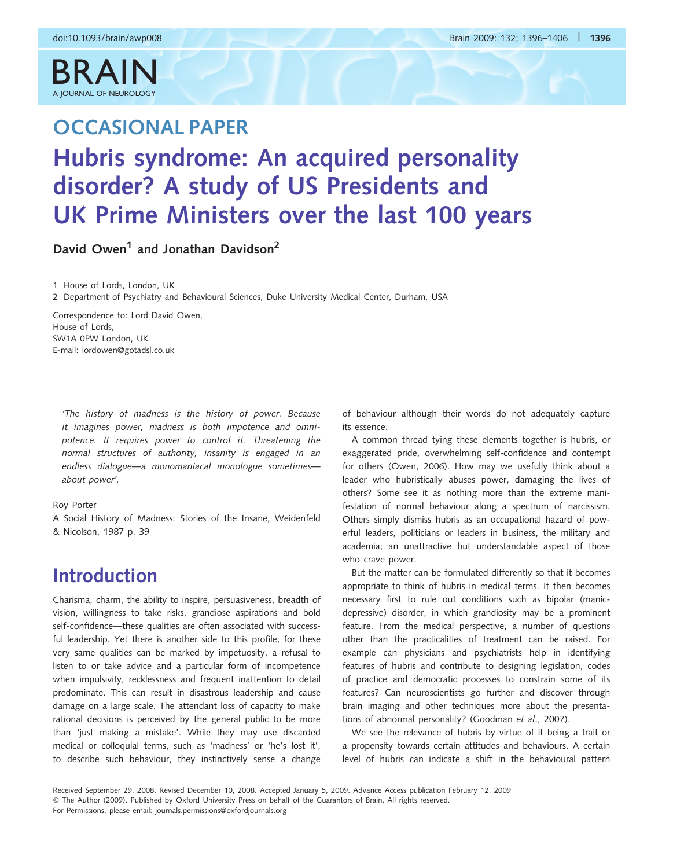# BRAIN

## OCCASIONAL PAPER Hubris syndrome: An acquired personality disorder? A study of US Presidents and UK Prime Ministers over the last 100 years

David Owen<sup>1</sup> and Jonathan Davidson<sup>2</sup>

1 House of Lords, London, UK

2 Department of Psychiatry and Behavioural Sciences, Duke University Medical Center, Durham, USA

Correspondence to: Lord David Owen, House of Lords, SW1A 0PW London, UK E-mail: lordowen@gotadsl.co.uk

'The history of madness is the history of power. Because it imagines power, madness is both impotence and omnipotence. It requires power to control it. Threatening the normal structures of authority, insanity is engaged in an endless dialogue—a monomaniacal monologue sometimes about power'.

#### Roy Porter

A Social History of Madness: Stories of the Insane, Weidenfeld & Nicolson, 1987 p. 39

#### Introduction

Charisma, charm, the ability to inspire, persuasiveness, breadth of vision, willingness to take risks, grandiose aspirations and bold self-confidence—these qualities are often associated with successful leadership. Yet there is another side to this profile, for these very same qualities can be marked by impetuosity, a refusal to listen to or take advice and a particular form of incompetence when impulsivity, recklessness and frequent inattention to detail predominate. This can result in disastrous leadership and cause damage on a large scale. The attendant loss of capacity to make rational decisions is perceived by the general public to be more than 'just making a mistake'. While they may use discarded medical or colloquial terms, such as 'madness' or 'he's lost it', to describe such behaviour, they instinctively sense a change

of behaviour although their words do not adequately capture its essence.

A common thread tying these elements together is hubris, or exaggerated pride, overwhelming self-confidence and contempt for others (Owen, 2006). How may we usefully think about a leader who hubristically abuses power, damaging the lives of others? Some see it as nothing more than the extreme manifestation of normal behaviour along a spectrum of narcissism. Others simply dismiss hubris as an occupational hazard of powerful leaders, politicians or leaders in business, the military and academia; an unattractive but understandable aspect of those who crave power.

But the matter can be formulated differently so that it becomes appropriate to think of hubris in medical terms. It then becomes necessary first to rule out conditions such as bipolar (manicdepressive) disorder, in which grandiosity may be a prominent feature. From the medical perspective, a number of questions other than the practicalities of treatment can be raised. For example can physicians and psychiatrists help in identifying features of hubris and contribute to designing legislation, codes of practice and democratic processes to constrain some of its features? Can neuroscientists go further and discover through brain imaging and other techniques more about the presentations of abnormal personality? (Goodman et al., 2007).

We see the relevance of hubris by virtue of it being a trait or a propensity towards certain attitudes and behaviours. A certain level of hubris can indicate a shift in the behavioural pattern

Received September 29, 2008. Revised December 10, 2008. Accepted January 5, 2009. Advance Access publication February 12, 2009 The Author (2009). Published by Oxford University Press on behalf of the Guarantors of Brain. All rights reserved. For Permissions, please email: journals.permissions@oxfordjournals.org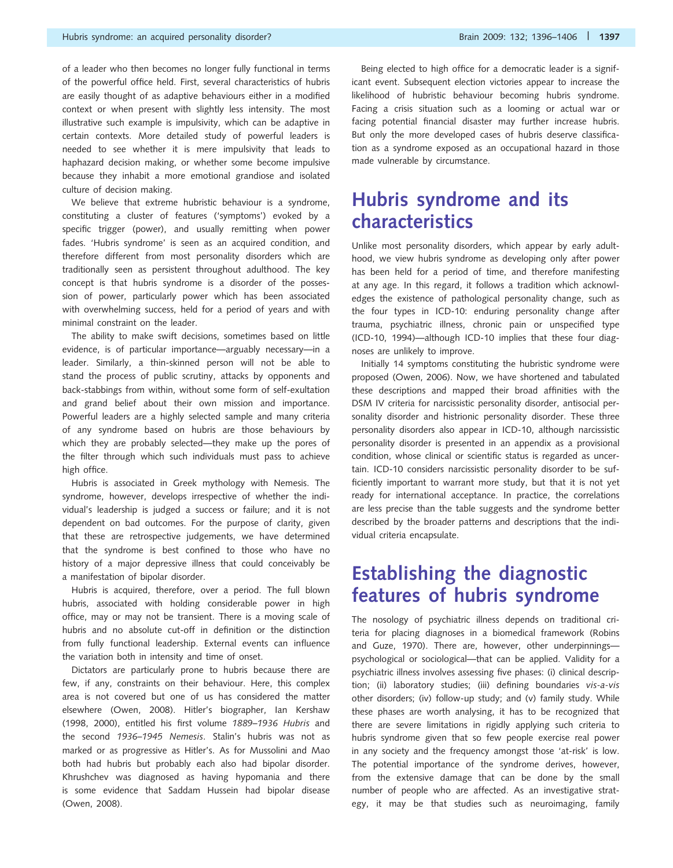of a leader who then becomes no longer fully functional in terms of the powerful office held. First, several characteristics of hubris are easily thought of as adaptive behaviours either in a modified context or when present with slightly less intensity. The most illustrative such example is impulsivity, which can be adaptive in certain contexts. More detailed study of powerful leaders is needed to see whether it is mere impulsivity that leads to haphazard decision making, or whether some become impulsive because they inhabit a more emotional grandiose and isolated culture of decision making.

We believe that extreme hubristic behaviour is a syndrome, constituting a cluster of features ('symptoms') evoked by a specific trigger (power), and usually remitting when power fades. 'Hubris syndrome' is seen as an acquired condition, and therefore different from most personality disorders which are traditionally seen as persistent throughout adulthood. The key concept is that hubris syndrome is a disorder of the possession of power, particularly power which has been associated with overwhelming success, held for a period of years and with minimal constraint on the leader.

The ability to make swift decisions, sometimes based on little evidence, is of particular importance—arguably necessary—in a leader. Similarly, a thin-skinned person will not be able to stand the process of public scrutiny, attacks by opponents and back-stabbings from within, without some form of self-exultation and grand belief about their own mission and importance. Powerful leaders are a highly selected sample and many criteria of any syndrome based on hubris are those behaviours by which they are probably selected—they make up the pores of the filter through which such individuals must pass to achieve high office.

Hubris is associated in Greek mythology with Nemesis. The syndrome, however, develops irrespective of whether the individual's leadership is judged a success or failure; and it is not dependent on bad outcomes. For the purpose of clarity, given that these are retrospective judgements, we have determined that the syndrome is best confined to those who have no history of a major depressive illness that could conceivably be a manifestation of bipolar disorder.

Hubris is acquired, therefore, over a period. The full blown hubris, associated with holding considerable power in high office, may or may not be transient. There is a moving scale of hubris and no absolute cut-off in definition or the distinction from fully functional leadership. External events can influence the variation both in intensity and time of onset.

Dictators are particularly prone to hubris because there are few, if any, constraints on their behaviour. Here, this complex area is not covered but one of us has considered the matter elsewhere (Owen, 2008). Hitler's biographer, Ian Kershaw (1998, 2000), entitled his first volume 1889–1936 Hubris and the second 1936–1945 Nemesis. Stalin's hubris was not as marked or as progressive as Hitler's. As for Mussolini and Mao both had hubris but probably each also had bipolar disorder. Khrushchev was diagnosed as having hypomania and there is some evidence that Saddam Hussein had bipolar disease (Owen, 2008).

Being elected to high office for a democratic leader is a significant event. Subsequent election victories appear to increase the likelihood of hubristic behaviour becoming hubris syndrome. Facing a crisis situation such as a looming or actual war or facing potential financial disaster may further increase hubris. But only the more developed cases of hubris deserve classification as a syndrome exposed as an occupational hazard in those made vulnerable by circumstance.

## Hubris syndrome and its characteristics

Unlike most personality disorders, which appear by early adulthood, we view hubris syndrome as developing only after power has been held for a period of time, and therefore manifesting at any age. In this regard, it follows a tradition which acknowledges the existence of pathological personality change, such as the four types in ICD-10: enduring personality change after trauma, psychiatric illness, chronic pain or unspecified type (ICD-10, 1994)—although ICD-10 implies that these four diagnoses are unlikely to improve.

Initially 14 symptoms constituting the hubristic syndrome were proposed (Owen, 2006). Now, we have shortened and tabulated these descriptions and mapped their broad affinities with the DSM IV criteria for narcissistic personality disorder, antisocial personality disorder and histrionic personality disorder. These three personality disorders also appear in ICD-10, although narcissistic personality disorder is presented in an appendix as a provisional condition, whose clinical or scientific status is regarded as uncertain. ICD-10 considers narcissistic personality disorder to be sufficiently important to warrant more study, but that it is not yet ready for international acceptance. In practice, the correlations are less precise than the table suggests and the syndrome better described by the broader patterns and descriptions that the individual criteria encapsulate.

#### Establishing the diagnostic features of hubris syndrome

The nosology of psychiatric illness depends on traditional criteria for placing diagnoses in a biomedical framework (Robins and Guze, 1970). There are, however, other underpinnings psychological or sociological—that can be applied. Validity for a psychiatric illness involves assessing five phases: (i) clinical description; (ii) laboratory studies; (iii) defining boundaries vis-a-vis other disorders; (iv) follow-up study; and (v) family study. While these phases are worth analysing, it has to be recognized that there are severe limitations in rigidly applying such criteria to hubris syndrome given that so few people exercise real power in any society and the frequency amongst those 'at-risk' is low. The potential importance of the syndrome derives, however, from the extensive damage that can be done by the small number of people who are affected. As an investigative strategy, it may be that studies such as neuroimaging, family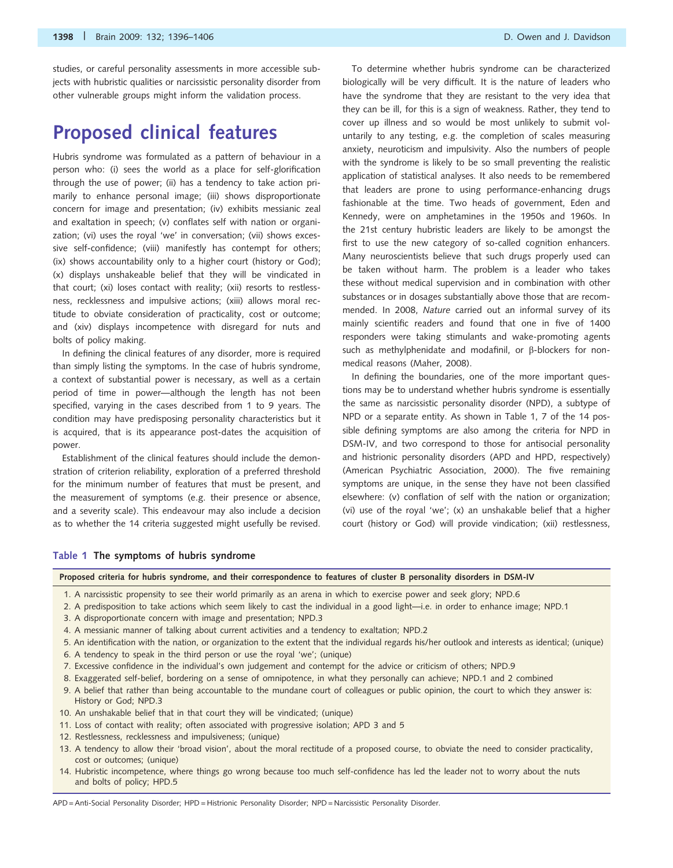studies, or careful personality assessments in more accessible subjects with hubristic qualities or narcissistic personality disorder from other vulnerable groups might inform the validation process.

#### Proposed clinical features

Hubris syndrome was formulated as a pattern of behaviour in a person who: (i) sees the world as a place for self-glorification through the use of power; (ii) has a tendency to take action primarily to enhance personal image; (iii) shows disproportionate concern for image and presentation; (iv) exhibits messianic zeal and exaltation in speech; (v) conflates self with nation or organization; (vi) uses the royal 'we' in conversation; (vii) shows excessive self-confidence; (viii) manifestly has contempt for others; (ix) shows accountability only to a higher court (history or God); (x) displays unshakeable belief that they will be vindicated in that court; (xi) loses contact with reality; (xii) resorts to restlessness, recklessness and impulsive actions; (xiii) allows moral rectitude to obviate consideration of practicality, cost or outcome; and (xiv) displays incompetence with disregard for nuts and bolts of policy making.

In defining the clinical features of any disorder, more is required than simply listing the symptoms. In the case of hubris syndrome, a context of substantial power is necessary, as well as a certain period of time in power—although the length has not been specified, varying in the cases described from 1 to 9 years. The condition may have predisposing personality characteristics but it is acquired, that is its appearance post-dates the acquisition of power.

Establishment of the clinical features should include the demonstration of criterion reliability, exploration of a preferred threshold for the minimum number of features that must be present, and the measurement of symptoms (e.g. their presence or absence, and a severity scale). This endeavour may also include a decision as to whether the 14 criteria suggested might usefully be revised.

To determine whether hubris syndrome can be characterized biologically will be very difficult. It is the nature of leaders who have the syndrome that they are resistant to the very idea that they can be ill, for this is a sign of weakness. Rather, they tend to cover up illness and so would be most unlikely to submit voluntarily to any testing, e.g. the completion of scales measuring anxiety, neuroticism and impulsivity. Also the numbers of people with the syndrome is likely to be so small preventing the realistic application of statistical analyses. It also needs to be remembered that leaders are prone to using performance-enhancing drugs fashionable at the time. Two heads of government, Eden and Kennedy, were on amphetamines in the 1950s and 1960s. In the 21st century hubristic leaders are likely to be amongst the first to use the new category of so-called cognition enhancers. Many neuroscientists believe that such drugs properly used can be taken without harm. The problem is a leader who takes these without medical supervision and in combination with other substances or in dosages substantially above those that are recommended. In 2008, Nature carried out an informal survey of its mainly scientific readers and found that one in five of 1400 responders were taking stimulants and wake-promoting agents such as methylphenidate and modafinil, or B-blockers for nonmedical reasons (Maher, 2008).

In defining the boundaries, one of the more important questions may be to understand whether hubris syndrome is essentially the same as narcissistic personality disorder (NPD), a subtype of NPD or a separate entity. As shown in Table 1, 7 of the 14 possible defining symptoms are also among the criteria for NPD in DSM-IV, and two correspond to those for antisocial personality and histrionic personality disorders (APD and HPD, respectively) (American Psychiatric Association, 2000). The five remaining symptoms are unique, in the sense they have not been classified elsewhere: (v) conflation of self with the nation or organization; (vi) use of the royal 'we'; (x) an unshakable belief that a higher court (history or God) will provide vindication; (xii) restlessness,

#### Table 1 The symptoms of hubris syndrome

Proposed criteria for hubris syndrome, and their correspondence to features of cluster B personality disorders in DSM-IV

- 1. A narcissistic propensity to see their world primarily as an arena in which to exercise power and seek glory; NPD.6
- 2. A predisposition to take actions which seem likely to cast the individual in a good light—i.e. in order to enhance image; NPD.1
- 3. A disproportionate concern with image and presentation; NPD.3
- 4. A messianic manner of talking about current activities and a tendency to exaltation; NPD.2
- 5. An identification with the nation, or organization to the extent that the individual regards his/her outlook and interests as identical; (unique)
- 6. A tendency to speak in the third person or use the royal 'we'; (unique)
- 7. Excessive confidence in the individual's own judgement and contempt for the advice or criticism of others; NPD.9
- 8. Exaggerated self-belief, bordering on a sense of omnipotence, in what they personally can achieve; NPD.1 and 2 combined
- 9. A belief that rather than being accountable to the mundane court of colleagues or public opinion, the court to which they answer is: History or God; NPD.3
- 10. An unshakable belief that in that court they will be vindicated; (unique)
- 11. Loss of contact with reality; often associated with progressive isolation; APD 3 and 5
- 12. Restlessness, recklessness and impulsiveness; (unique)
- 13. A tendency to allow their 'broad vision', about the moral rectitude of a proposed course, to obviate the need to consider practicality, cost or outcomes; (unique)
- 14. Hubristic incompetence, where things go wrong because too much self-confidence has led the leader not to worry about the nuts and bolts of policy; HPD.5

APD = Anti-Social Personality Disorder; HPD = Histrionic Personality Disorder; NPD = Narcissistic Personality Disorder.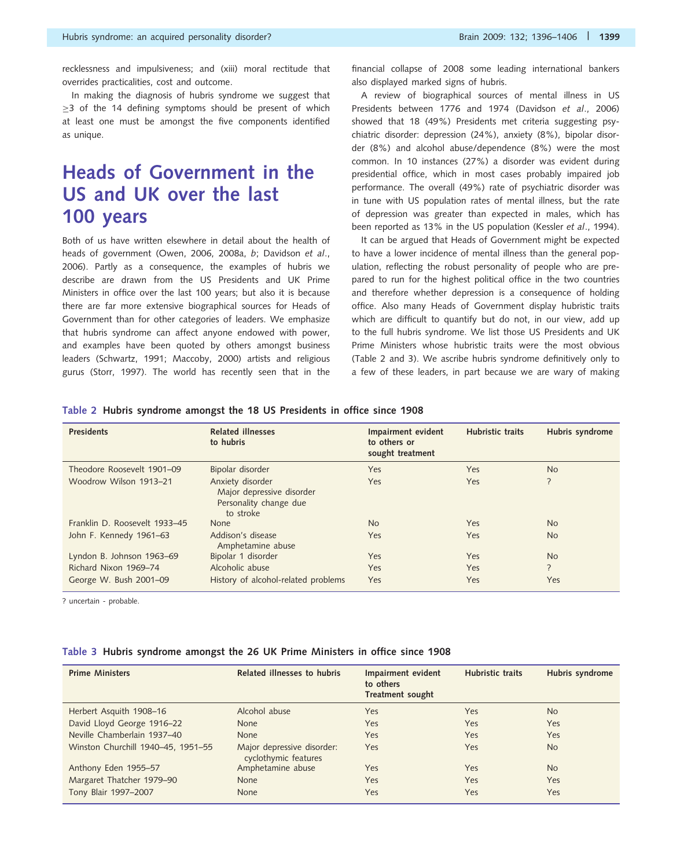recklessness and impulsiveness; and (xiii) moral rectitude that overrides practicalities, cost and outcome.

In making the diagnosis of hubris syndrome we suggest that  $\geq$ 3 of the 14 defining symptoms should be present of which at least one must be amongst the five components identified as unique.

#### Heads of Government in the US and UK over the last 100 years

Both of us have written elsewhere in detail about the health of heads of government (Owen, 2006, 2008a, b; Davidson et al., 2006). Partly as a consequence, the examples of hubris we describe are drawn from the US Presidents and UK Prime Ministers in office over the last 100 years; but also it is because there are far more extensive biographical sources for Heads of Government than for other categories of leaders. We emphasize that hubris syndrome can affect anyone endowed with power, and examples have been quoted by others amongst business leaders (Schwartz, 1991; Maccoby, 2000) artists and religious gurus (Storr, 1997). The world has recently seen that in the financial collapse of 2008 some leading international bankers also displayed marked signs of hubris.

A review of biographical sources of mental illness in US Presidents between 1776 and 1974 (Davidson et al., 2006) showed that 18 (49%) Presidents met criteria suggesting psychiatric disorder: depression (24%), anxiety (8%), bipolar disorder (8%) and alcohol abuse/dependence (8%) were the most common. In 10 instances (27%) a disorder was evident during presidential office, which in most cases probably impaired job performance. The overall (49%) rate of psychiatric disorder was in tune with US population rates of mental illness, but the rate of depression was greater than expected in males, which has been reported as 13% in the US population (Kessler et al., 1994).

It can be argued that Heads of Government might be expected to have a lower incidence of mental illness than the general population, reflecting the robust personality of people who are prepared to run for the highest political office in the two countries and therefore whether depression is a consequence of holding office. Also many Heads of Government display hubristic traits which are difficult to quantify but do not, in our view, add up to the full hubris syndrome. We list those US Presidents and UK Prime Ministers whose hubristic traits were the most obvious (Table 2 and 3). We ascribe hubris syndrome definitively only to a few of these leaders, in part because we are wary of making

| <b>Presidents</b>             | <b>Related illnesses</b><br>to hubris                                                | Impairment evident<br>to others or<br>sought treatment | <b>Hubristic traits</b> | Hubris syndrome |
|-------------------------------|--------------------------------------------------------------------------------------|--------------------------------------------------------|-------------------------|-----------------|
| Theodore Roosevelt 1901-09    | Bipolar disorder                                                                     | Yes                                                    | Yes                     | <b>No</b>       |
| Woodrow Wilson 1913-21        | Anxiety disorder<br>Major depressive disorder<br>Personality change due<br>to stroke | Yes                                                    | Yes                     | $\overline{?}$  |
| Franklin D. Roosevelt 1933-45 | None                                                                                 | <b>No</b>                                              | Yes                     | <b>No</b>       |
| John F. Kennedy 1961-63       | Addison's disease<br>Amphetamine abuse                                               | Yes                                                    | Yes                     | <b>No</b>       |
| Lyndon B. Johnson 1963–69     | Bipolar 1 disorder                                                                   | Yes                                                    | Yes                     | No.             |
| Richard Nixon 1969-74         | Alcoholic abuse                                                                      | Yes                                                    | Yes                     | $\overline{?}$  |
| George W. Bush 2001-09        | History of alcohol-related problems                                                  | Yes                                                    | Yes                     | Yes             |

Table 2 Hubris syndrome amongst the 18 US Presidents in office since 1908

? uncertain - probable.

#### Table 3 Hubris syndrome amongst the 26 UK Prime Ministers in office since 1908

| <b>Prime Ministers</b>             | Related illnesses to hubris                        | Impairment evident<br>to others<br><b>Treatment sought</b> | Hubristic traits | Hubris syndrome |
|------------------------------------|----------------------------------------------------|------------------------------------------------------------|------------------|-----------------|
| Herbert Asquith 1908-16            | Alcohol abuse                                      | Yes                                                        | Yes              | <b>No</b>       |
| David Lloyd George 1916-22         | None                                               | Yes                                                        | Yes              | Yes             |
| Neville Chamberlain 1937-40        | None                                               | Yes                                                        | Yes              | Yes             |
| Winston Churchill 1940-45, 1951-55 | Major depressive disorder:<br>cyclothymic features | Yes                                                        | Yes              | <b>No</b>       |
| Anthony Eden 1955-57               | Amphetamine abuse                                  | Yes                                                        | Yes              | <b>No</b>       |
| Margaret Thatcher 1979-90          | <b>None</b>                                        | Yes                                                        | Yes              | Yes             |
| Tony Blair 1997-2007               | <b>None</b>                                        | Yes                                                        | Yes              | Yes             |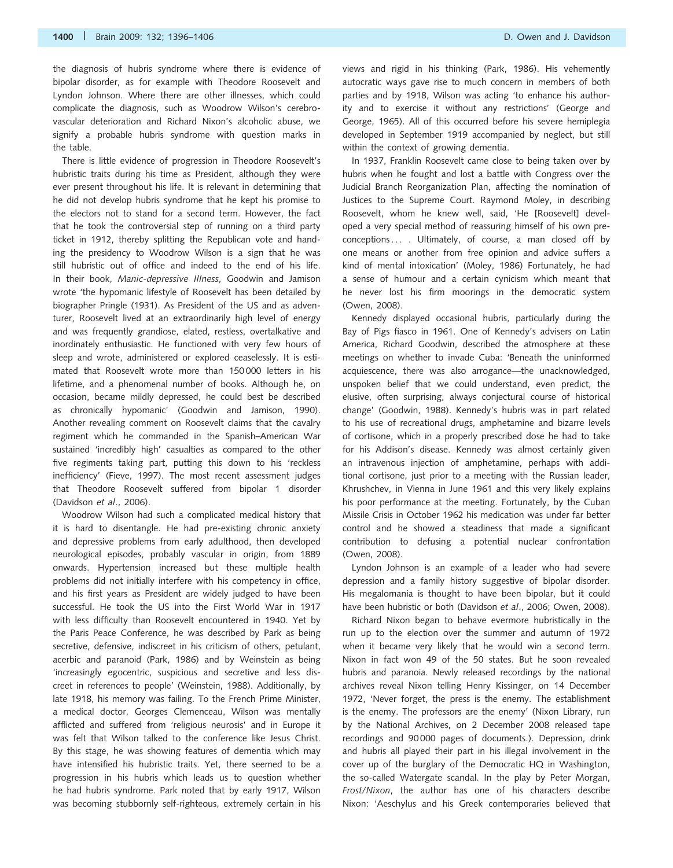the diagnosis of hubris syndrome where there is evidence of bipolar disorder, as for example with Theodore Roosevelt and Lyndon Johnson. Where there are other illnesses, which could complicate the diagnosis, such as Woodrow Wilson's cerebrovascular deterioration and Richard Nixon's alcoholic abuse, we signify a probable hubris syndrome with question marks in the table.

There is little evidence of progression in Theodore Roosevelt's hubristic traits during his time as President, although they were ever present throughout his life. It is relevant in determining that he did not develop hubris syndrome that he kept his promise to the electors not to stand for a second term. However, the fact that he took the controversial step of running on a third party ticket in 1912, thereby splitting the Republican vote and handing the presidency to Woodrow Wilson is a sign that he was still hubristic out of office and indeed to the end of his life. In their book, Manic-depressive Illness, Goodwin and Jamison wrote 'the hypomanic lifestyle of Roosevelt has been detailed by biographer Pringle (1931). As President of the US and as adventurer, Roosevelt lived at an extraordinarily high level of energy and was frequently grandiose, elated, restless, overtalkative and inordinately enthusiastic. He functioned with very few hours of sleep and wrote, administered or explored ceaselessly. It is estimated that Roosevelt wrote more than 150 000 letters in his lifetime, and a phenomenal number of books. Although he, on occasion, became mildly depressed, he could best be described as chronically hypomanic' (Goodwin and Jamison, 1990). Another revealing comment on Roosevelt claims that the cavalry regiment which he commanded in the Spanish–American War sustained 'incredibly high' casualties as compared to the other five regiments taking part, putting this down to his 'reckless inefficiency' (Fieve, 1997). The most recent assessment judges that Theodore Roosevelt suffered from bipolar 1 disorder (Davidson et al., 2006).

Woodrow Wilson had such a complicated medical history that it is hard to disentangle. He had pre-existing chronic anxiety and depressive problems from early adulthood, then developed neurological episodes, probably vascular in origin, from 1889 onwards. Hypertension increased but these multiple health problems did not initially interfere with his competency in office, and his first years as President are widely judged to have been successful. He took the US into the First World War in 1917 with less difficulty than Roosevelt encountered in 1940. Yet by the Paris Peace Conference, he was described by Park as being secretive, defensive, indiscreet in his criticism of others, petulant, acerbic and paranoid (Park, 1986) and by Weinstein as being 'increasingly egocentric, suspicious and secretive and less discreet in references to people' (Weinstein, 1988). Additionally, by late 1918, his memory was failing. To the French Prime Minister, a medical doctor, Georges Clemenceau, Wilson was mentally afflicted and suffered from 'religious neurosis' and in Europe it was felt that Wilson talked to the conference like Jesus Christ. By this stage, he was showing features of dementia which may have intensified his hubristic traits. Yet, there seemed to be a progression in his hubris which leads us to question whether he had hubris syndrome. Park noted that by early 1917, Wilson was becoming stubbornly self-righteous, extremely certain in his views and rigid in his thinking (Park, 1986). His vehemently autocratic ways gave rise to much concern in members of both parties and by 1918, Wilson was acting 'to enhance his authority and to exercise it without any restrictions' (George and George, 1965). All of this occurred before his severe hemiplegia developed in September 1919 accompanied by neglect, but still within the context of growing dementia.

In 1937, Franklin Roosevelt came close to being taken over by hubris when he fought and lost a battle with Congress over the Judicial Branch Reorganization Plan, affecting the nomination of Justices to the Supreme Court. Raymond Moley, in describing Roosevelt, whom he knew well, said, 'He [Roosevelt] developed a very special method of reassuring himself of his own preconceptions... . Ultimately, of course, a man closed off by one means or another from free opinion and advice suffers a kind of mental intoxication' (Moley, 1986) Fortunately, he had a sense of humour and a certain cynicism which meant that he never lost his firm moorings in the democratic system (Owen, 2008).

Kennedy displayed occasional hubris, particularly during the Bay of Pigs fiasco in 1961. One of Kennedy's advisers on Latin America, Richard Goodwin, described the atmosphere at these meetings on whether to invade Cuba: 'Beneath the uninformed acquiescence, there was also arrogance—the unacknowledged, unspoken belief that we could understand, even predict, the elusive, often surprising, always conjectural course of historical change' (Goodwin, 1988). Kennedy's hubris was in part related to his use of recreational drugs, amphetamine and bizarre levels of cortisone, which in a properly prescribed dose he had to take for his Addison's disease. Kennedy was almost certainly given an intravenous injection of amphetamine, perhaps with additional cortisone, just prior to a meeting with the Russian leader, Khrushchev, in Vienna in June 1961 and this very likely explains his poor performance at the meeting. Fortunately, by the Cuban Missile Crisis in October 1962 his medication was under far better control and he showed a steadiness that made a significant contribution to defusing a potential nuclear confrontation (Owen, 2008).

Lyndon Johnson is an example of a leader who had severe depression and a family history suggestive of bipolar disorder. His megalomania is thought to have been bipolar, but it could have been hubristic or both (Davidson et al., 2006; Owen, 2008).

Richard Nixon began to behave evermore hubristically in the run up to the election over the summer and autumn of 1972 when it became very likely that he would win a second term. Nixon in fact won 49 of the 50 states. But he soon revealed hubris and paranoia. Newly released recordings by the national archives reveal Nixon telling Henry Kissinger, on 14 December 1972, 'Never forget, the press is the enemy. The establishment is the enemy. The professors are the enemy' (Nixon Library, run by the National Archives, on 2 December 2008 released tape recordings and 90 000 pages of documents.). Depression, drink and hubris all played their part in his illegal involvement in the cover up of the burglary of the Democratic HQ in Washington, the so-called Watergate scandal. In the play by Peter Morgan, Frost/Nixon, the author has one of his characters describe Nixon: 'Aeschylus and his Greek contemporaries believed that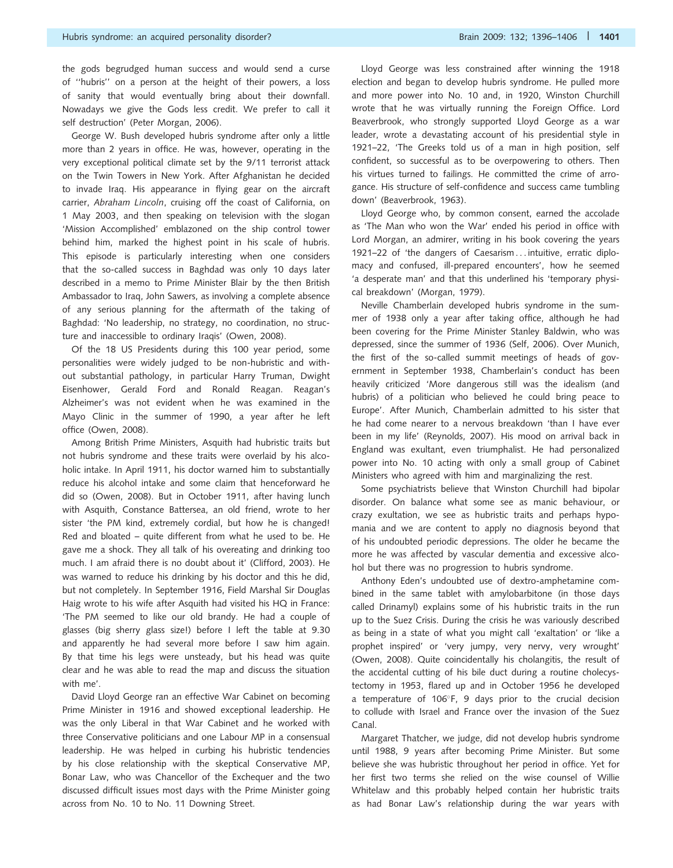the gods begrudged human success and would send a curse of ''hubris'' on a person at the height of their powers, a loss of sanity that would eventually bring about their downfall. Nowadays we give the Gods less credit. We prefer to call it self destruction' (Peter Morgan, 2006).

George W. Bush developed hubris syndrome after only a little more than 2 years in office. He was, however, operating in the very exceptional political climate set by the 9/11 terrorist attack on the Twin Towers in New York. After Afghanistan he decided to invade Iraq. His appearance in flying gear on the aircraft carrier, Abraham Lincoln, cruising off the coast of California, on 1 May 2003, and then speaking on television with the slogan 'Mission Accomplished' emblazoned on the ship control tower behind him, marked the highest point in his scale of hubris. This episode is particularly interesting when one considers that the so-called success in Baghdad was only 10 days later described in a memo to Prime Minister Blair by the then British Ambassador to Iraq, John Sawers, as involving a complete absence of any serious planning for the aftermath of the taking of Baghdad: 'No leadership, no strategy, no coordination, no structure and inaccessible to ordinary Iraqis' (Owen, 2008).

Of the 18 US Presidents during this 100 year period, some personalities were widely judged to be non-hubristic and without substantial pathology, in particular Harry Truman, Dwight Eisenhower, Gerald Ford and Ronald Reagan. Reagan's Alzheimer's was not evident when he was examined in the Mayo Clinic in the summer of 1990, a year after he left office (Owen, 2008).

Among British Prime Ministers, Asquith had hubristic traits but not hubris syndrome and these traits were overlaid by his alcoholic intake. In April 1911, his doctor warned him to substantially reduce his alcohol intake and some claim that henceforward he did so (Owen, 2008). But in October 1911, after having lunch with Asquith, Constance Battersea, an old friend, wrote to her sister 'the PM kind, extremely cordial, but how he is changed! Red and bloated – quite different from what he used to be. He gave me a shock. They all talk of his overeating and drinking too much. I am afraid there is no doubt about it' (Clifford, 2003). He was warned to reduce his drinking by his doctor and this he did, but not completely. In September 1916, Field Marshal Sir Douglas Haig wrote to his wife after Asquith had visited his HQ in France: 'The PM seemed to like our old brandy. He had a couple of glasses (big sherry glass size!) before I left the table at 9.30 and apparently he had several more before I saw him again. By that time his legs were unsteady, but his head was quite clear and he was able to read the map and discuss the situation with me'.

David Lloyd George ran an effective War Cabinet on becoming Prime Minister in 1916 and showed exceptional leadership. He was the only Liberal in that War Cabinet and he worked with three Conservative politicians and one Labour MP in a consensual leadership. He was helped in curbing his hubristic tendencies by his close relationship with the skeptical Conservative MP, Bonar Law, who was Chancellor of the Exchequer and the two discussed difficult issues most days with the Prime Minister going across from No. 10 to No. 11 Downing Street.

Lloyd George was less constrained after winning the 1918 election and began to develop hubris syndrome. He pulled more and more power into No. 10 and, in 1920, Winston Churchill wrote that he was virtually running the Foreign Office. Lord Beaverbrook, who strongly supported Lloyd George as a war leader, wrote a devastating account of his presidential style in 1921–22, 'The Greeks told us of a man in high position, self confident, so successful as to be overpowering to others. Then his virtues turned to failings. He committed the crime of arrogance. His structure of self-confidence and success came tumbling down' (Beaverbrook, 1963).

Lloyd George who, by common consent, earned the accolade as 'The Man who won the War' ended his period in office with Lord Morgan, an admirer, writing in his book covering the years 1921–22 of 'the dangers of Caesarism ... intuitive, erratic diplomacy and confused, ill-prepared encounters', how he seemed 'a desperate man' and that this underlined his 'temporary physical breakdown' (Morgan, 1979).

Neville Chamberlain developed hubris syndrome in the summer of 1938 only a year after taking office, although he had been covering for the Prime Minister Stanley Baldwin, who was depressed, since the summer of 1936 (Self, 2006). Over Munich, the first of the so-called summit meetings of heads of government in September 1938, Chamberlain's conduct has been heavily criticized 'More dangerous still was the idealism (and hubris) of a politician who believed he could bring peace to Europe'. After Munich, Chamberlain admitted to his sister that he had come nearer to a nervous breakdown 'than I have ever been in my life' (Reynolds, 2007). His mood on arrival back in England was exultant, even triumphalist. He had personalized power into No. 10 acting with only a small group of Cabinet Ministers who agreed with him and marginalizing the rest.

Some psychiatrists believe that Winston Churchill had bipolar disorder. On balance what some see as manic behaviour, or crazy exultation, we see as hubristic traits and perhaps hypomania and we are content to apply no diagnosis beyond that of his undoubted periodic depressions. The older he became the more he was affected by vascular dementia and excessive alcohol but there was no progression to hubris syndrome.

Anthony Eden's undoubted use of dextro-amphetamine combined in the same tablet with amylobarbitone (in those days called Drinamyl) explains some of his hubristic traits in the run up to the Suez Crisis. During the crisis he was variously described as being in a state of what you might call 'exaltation' or 'like a prophet inspired' or 'very jumpy, very nervy, very wrought' (Owen, 2008). Quite coincidentally his cholangitis, the result of the accidental cutting of his bile duct during a routine cholecystectomy in 1953, flared up and in October 1956 he developed a temperature of 106°F, 9 days prior to the crucial decision to collude with Israel and France over the invasion of the Suez Canal.

Margaret Thatcher, we judge, did not develop hubris syndrome until 1988, 9 years after becoming Prime Minister. But some believe she was hubristic throughout her period in office. Yet for her first two terms she relied on the wise counsel of Willie Whitelaw and this probably helped contain her hubristic traits as had Bonar Law's relationship during the war years with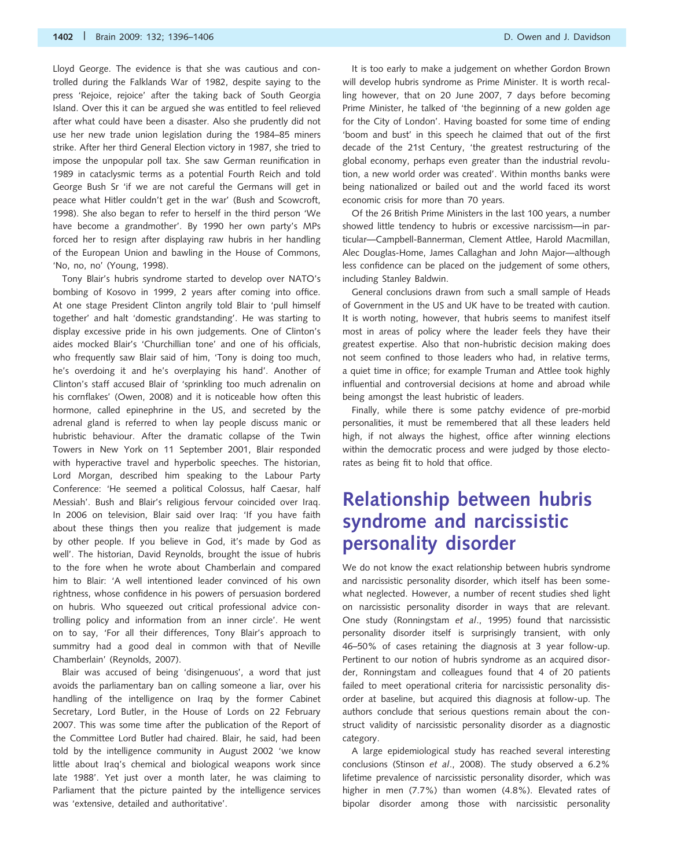Lloyd George. The evidence is that she was cautious and controlled during the Falklands War of 1982, despite saying to the press 'Rejoice, rejoice' after the taking back of South Georgia Island. Over this it can be argued she was entitled to feel relieved after what could have been a disaster. Also she prudently did not use her new trade union legislation during the 1984–85 miners strike. After her third General Election victory in 1987, she tried to impose the unpopular poll tax. She saw German reunification in 1989 in cataclysmic terms as a potential Fourth Reich and told George Bush Sr 'if we are not careful the Germans will get in peace what Hitler couldn't get in the war' (Bush and Scowcroft, 1998). She also began to refer to herself in the third person 'We have become a grandmother'. By 1990 her own party's MPs forced her to resign after displaying raw hubris in her handling of the European Union and bawling in the House of Commons, 'No, no, no' (Young, 1998).

Tony Blair's hubris syndrome started to develop over NATO's bombing of Kosovo in 1999, 2 years after coming into office. At one stage President Clinton angrily told Blair to 'pull himself together' and halt 'domestic grandstanding'. He was starting to display excessive pride in his own judgements. One of Clinton's aides mocked Blair's 'Churchillian tone' and one of his officials, who frequently saw Blair said of him, 'Tony is doing too much, he's overdoing it and he's overplaying his hand'. Another of Clinton's staff accused Blair of 'sprinkling too much adrenalin on his cornflakes' (Owen, 2008) and it is noticeable how often this hormone, called epinephrine in the US, and secreted by the adrenal gland is referred to when lay people discuss manic or hubristic behaviour. After the dramatic collapse of the Twin Towers in New York on 11 September 2001, Blair responded with hyperactive travel and hyperbolic speeches. The historian, Lord Morgan, described him speaking to the Labour Party Conference: 'He seemed a political Colossus, half Caesar, half Messiah'. Bush and Blair's religious fervour coincided over Iraq. In 2006 on television, Blair said over Iraq: 'If you have faith about these things then you realize that judgement is made by other people. If you believe in God, it's made by God as well'. The historian, David Reynolds, brought the issue of hubris to the fore when he wrote about Chamberlain and compared him to Blair: 'A well intentioned leader convinced of his own rightness, whose confidence in his powers of persuasion bordered on hubris. Who squeezed out critical professional advice controlling policy and information from an inner circle'. He went on to say, 'For all their differences, Tony Blair's approach to summitry had a good deal in common with that of Neville Chamberlain' (Reynolds, 2007).

Blair was accused of being 'disingenuous', a word that just avoids the parliamentary ban on calling someone a liar, over his handling of the intelligence on Iraq by the former Cabinet Secretary, Lord Butler, in the House of Lords on 22 February 2007. This was some time after the publication of the Report of the Committee Lord Butler had chaired. Blair, he said, had been told by the intelligence community in August 2002 'we know little about Iraq's chemical and biological weapons work since late 1988'. Yet just over a month later, he was claiming to Parliament that the picture painted by the intelligence services was 'extensive, detailed and authoritative'.

It is too early to make a judgement on whether Gordon Brown will develop hubris syndrome as Prime Minister. It is worth recalling however, that on 20 June 2007, 7 days before becoming Prime Minister, he talked of 'the beginning of a new golden age for the City of London'. Having boasted for some time of ending 'boom and bust' in this speech he claimed that out of the first decade of the 21st Century, 'the greatest restructuring of the global economy, perhaps even greater than the industrial revolution, a new world order was created'. Within months banks were being nationalized or bailed out and the world faced its worst economic crisis for more than 70 years.

Of the 26 British Prime Ministers in the last 100 years, a number showed little tendency to hubris or excessive narcissism—in particular—Campbell-Bannerman, Clement Attlee, Harold Macmillan, Alec Douglas-Home, James Callaghan and John Major—although less confidence can be placed on the judgement of some others, including Stanley Baldwin.

General conclusions drawn from such a small sample of Heads of Government in the US and UK have to be treated with caution. It is worth noting, however, that hubris seems to manifest itself most in areas of policy where the leader feels they have their greatest expertise. Also that non-hubristic decision making does not seem confined to those leaders who had, in relative terms, a quiet time in office; for example Truman and Attlee took highly influential and controversial decisions at home and abroad while being amongst the least hubristic of leaders.

Finally, while there is some patchy evidence of pre-morbid personalities, it must be remembered that all these leaders held high, if not always the highest, office after winning elections within the democratic process and were judged by those electorates as being fit to hold that office.

## Relationship between hubris syndrome and narcissistic personality disorder

We do not know the exact relationship between hubris syndrome and narcissistic personality disorder, which itself has been somewhat neglected. However, a number of recent studies shed light on narcissistic personality disorder in ways that are relevant. One study (Ronningstam et al., 1995) found that narcissistic personality disorder itself is surprisingly transient, with only 46–50% of cases retaining the diagnosis at 3 year follow-up. Pertinent to our notion of hubris syndrome as an acquired disorder, Ronningstam and colleagues found that 4 of 20 patients failed to meet operational criteria for narcissistic personality disorder at baseline, but acquired this diagnosis at follow-up. The authors conclude that serious questions remain about the construct validity of narcissistic personality disorder as a diagnostic category.

A large epidemiological study has reached several interesting conclusions (Stinson et al., 2008). The study observed a 6.2% lifetime prevalence of narcissistic personality disorder, which was higher in men (7.7%) than women (4.8%). Elevated rates of bipolar disorder among those with narcissistic personality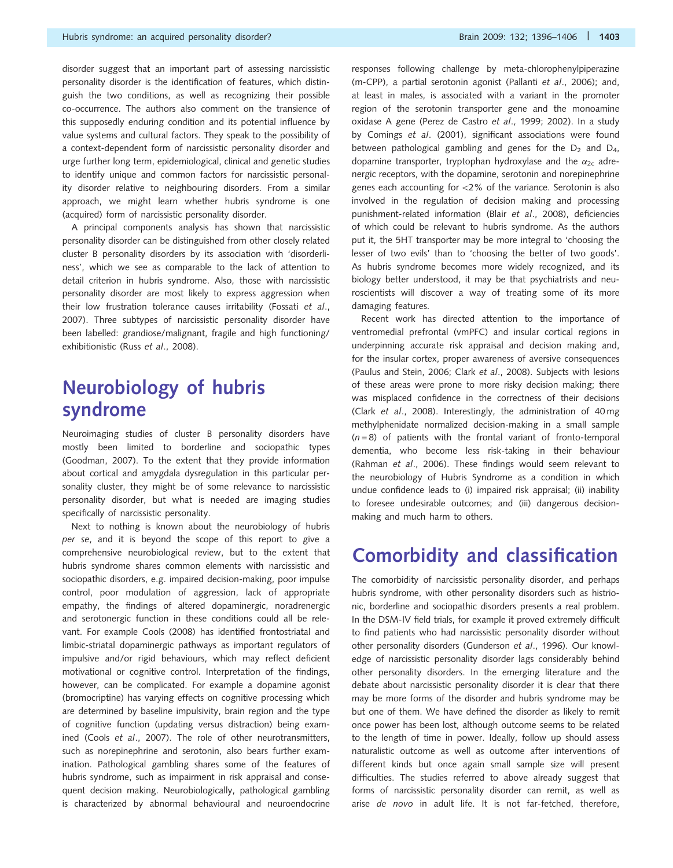disorder suggest that an important part of assessing narcissistic personality disorder is the identification of features, which distinguish the two conditions, as well as recognizing their possible co-occurrence. The authors also comment on the transience of this supposedly enduring condition and its potential influence by value systems and cultural factors. They speak to the possibility of a context-dependent form of narcissistic personality disorder and urge further long term, epidemiological, clinical and genetic studies to identify unique and common factors for narcissistic personality disorder relative to neighbouring disorders. From a similar approach, we might learn whether hubris syndrome is one (acquired) form of narcissistic personality disorder.

A principal components analysis has shown that narcissistic personality disorder can be distinguished from other closely related cluster B personality disorders by its association with 'disorderliness', which we see as comparable to the lack of attention to detail criterion in hubris syndrome. Also, those with narcissistic personality disorder are most likely to express aggression when their low frustration tolerance causes irritability (Fossati et al., 2007). Three subtypes of narcissistic personality disorder have been labelled: grandiose/malignant, fragile and high functioning/ exhibitionistic (Russ et al., 2008).

#### Neurobiology of hubris syndrome

Neuroimaging studies of cluster B personality disorders have mostly been limited to borderline and sociopathic types (Goodman, 2007). To the extent that they provide information about cortical and amygdala dysregulation in this particular personality cluster, they might be of some relevance to narcissistic personality disorder, but what is needed are imaging studies specifically of narcissistic personality.

Next to nothing is known about the neurobiology of hubris per se, and it is beyond the scope of this report to give a comprehensive neurobiological review, but to the extent that hubris syndrome shares common elements with narcissistic and sociopathic disorders, e.g. impaired decision-making, poor impulse control, poor modulation of aggression, lack of appropriate empathy, the findings of altered dopaminergic, noradrenergic and serotonergic function in these conditions could all be relevant. For example Cools (2008) has identified frontostriatal and limbic-striatal dopaminergic pathways as important regulators of impulsive and/or rigid behaviours, which may reflect deficient motivational or cognitive control. Interpretation of the findings, however, can be complicated. For example a dopamine agonist (bromocriptine) has varying effects on cognitive processing which are determined by baseline impulsivity, brain region and the type of cognitive function (updating versus distraction) being examined (Cools et al., 2007). The role of other neurotransmitters, such as norepinephrine and serotonin, also bears further examination. Pathological gambling shares some of the features of hubris syndrome, such as impairment in risk appraisal and consequent decision making. Neurobiologically, pathological gambling is characterized by abnormal behavioural and neuroendocrine responses following challenge by meta-chlorophenylpiperazine (m-CPP), a partial serotonin agonist (Pallanti et al., 2006); and, at least in males, is associated with a variant in the promoter region of the serotonin transporter gene and the monoamine oxidase A gene (Perez de Castro et al., 1999; 2002). In a study by Comings et al. (2001), significant associations were found between pathological gambling and genes for the  $D_2$  and  $D_4$ , dopamine transporter, tryptophan hydroxylase and the  $\alpha_{2c}$  adrenergic receptors, with the dopamine, serotonin and norepinephrine genes each accounting for  $<$ 2% of the variance. Serotonin is also involved in the regulation of decision making and processing punishment-related information (Blair et al., 2008), deficiencies of which could be relevant to hubris syndrome. As the authors put it, the 5HT transporter may be more integral to 'choosing the lesser of two evils' than to 'choosing the better of two goods'. As hubris syndrome becomes more widely recognized, and its biology better understood, it may be that psychiatrists and neuroscientists will discover a way of treating some of its more damaging features.

Recent work has directed attention to the importance of ventromedial prefrontal (vmPFC) and insular cortical regions in underpinning accurate risk appraisal and decision making and, for the insular cortex, proper awareness of aversive consequences (Paulus and Stein, 2006; Clark et al., 2008). Subjects with lesions of these areas were prone to more risky decision making; there was misplaced confidence in the correctness of their decisions (Clark et al., 2008). Interestingly, the administration of 40 mg methylphenidate normalized decision-making in a small sample  $(n = 8)$  of patients with the frontal variant of fronto-temporal dementia, who become less risk-taking in their behaviour (Rahman et al., 2006). These findings would seem relevant to the neurobiology of Hubris Syndrome as a condition in which undue confidence leads to (i) impaired risk appraisal; (ii) inability to foresee undesirable outcomes; and (iii) dangerous decisionmaking and much harm to others.

#### Comorbidity and classification

The comorbidity of narcissistic personality disorder, and perhaps hubris syndrome, with other personality disorders such as histrionic, borderline and sociopathic disorders presents a real problem. In the DSM-IV field trials, for example it proved extremely difficult to find patients who had narcissistic personality disorder without other personality disorders (Gunderson et al., 1996). Our knowledge of narcissistic personality disorder lags considerably behind other personality disorders. In the emerging literature and the debate about narcissistic personality disorder it is clear that there may be more forms of the disorder and hubris syndrome may be but one of them. We have defined the disorder as likely to remit once power has been lost, although outcome seems to be related to the length of time in power. Ideally, follow up should assess naturalistic outcome as well as outcome after interventions of different kinds but once again small sample size will present difficulties. The studies referred to above already suggest that forms of narcissistic personality disorder can remit, as well as arise de novo in adult life. It is not far-fetched, therefore,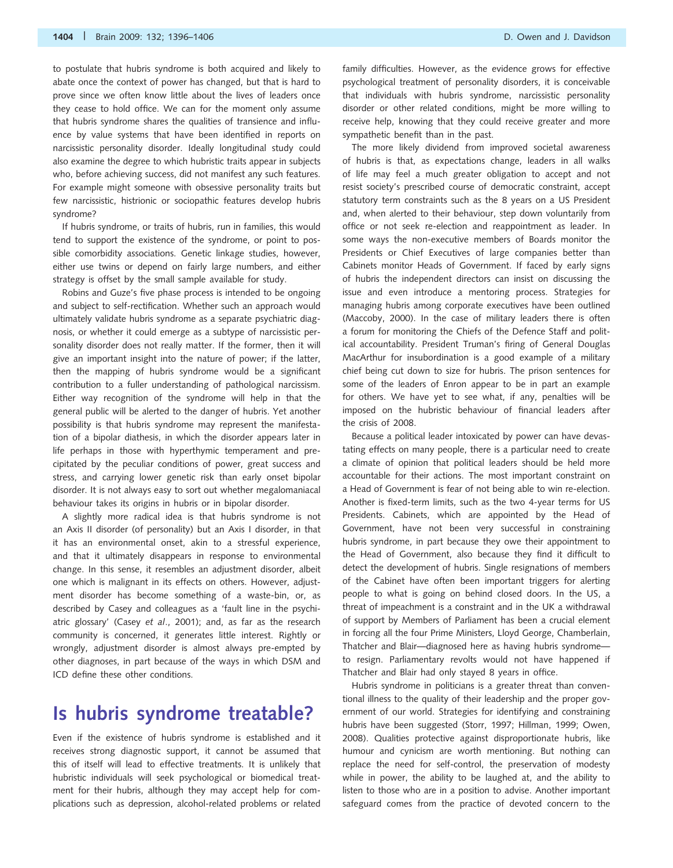to postulate that hubris syndrome is both acquired and likely to abate once the context of power has changed, but that is hard to prove since we often know little about the lives of leaders once they cease to hold office. We can for the moment only assume that hubris syndrome shares the qualities of transience and influence by value systems that have been identified in reports on narcissistic personality disorder. Ideally longitudinal study could also examine the degree to which hubristic traits appear in subjects who, before achieving success, did not manifest any such features. For example might someone with obsessive personality traits but few narcissistic, histrionic or sociopathic features develop hubris syndrome?

If hubris syndrome, or traits of hubris, run in families, this would tend to support the existence of the syndrome, or point to possible comorbidity associations. Genetic linkage studies, however, either use twins or depend on fairly large numbers, and either strategy is offset by the small sample available for study.

Robins and Guze's five phase process is intended to be ongoing and subject to self-rectification. Whether such an approach would ultimately validate hubris syndrome as a separate psychiatric diagnosis, or whether it could emerge as a subtype of narcissistic personality disorder does not really matter. If the former, then it will give an important insight into the nature of power; if the latter, then the mapping of hubris syndrome would be a significant contribution to a fuller understanding of pathological narcissism. Either way recognition of the syndrome will help in that the general public will be alerted to the danger of hubris. Yet another possibility is that hubris syndrome may represent the manifestation of a bipolar diathesis, in which the disorder appears later in life perhaps in those with hyperthymic temperament and precipitated by the peculiar conditions of power, great success and stress, and carrying lower genetic risk than early onset bipolar disorder. It is not always easy to sort out whether megalomaniacal behaviour takes its origins in hubris or in bipolar disorder.

A slightly more radical idea is that hubris syndrome is not an Axis II disorder (of personality) but an Axis I disorder, in that it has an environmental onset, akin to a stressful experience, and that it ultimately disappears in response to environmental change. In this sense, it resembles an adjustment disorder, albeit one which is malignant in its effects on others. However, adjustment disorder has become something of a waste-bin, or, as described by Casey and colleagues as a 'fault line in the psychiatric glossary' (Casey et al., 2001); and, as far as the research community is concerned, it generates little interest. Rightly or wrongly, adjustment disorder is almost always pre-empted by other diagnoses, in part because of the ways in which DSM and ICD define these other conditions.

#### Is hubris syndrome treatable?

Even if the existence of hubris syndrome is established and it receives strong diagnostic support, it cannot be assumed that this of itself will lead to effective treatments. It is unlikely that hubristic individuals will seek psychological or biomedical treatment for their hubris, although they may accept help for complications such as depression, alcohol-related problems or related

family difficulties. However, as the evidence grows for effective psychological treatment of personality disorders, it is conceivable that individuals with hubris syndrome, narcissistic personality disorder or other related conditions, might be more willing to receive help, knowing that they could receive greater and more sympathetic benefit than in the past.

The more likely dividend from improved societal awareness of hubris is that, as expectations change, leaders in all walks of life may feel a much greater obligation to accept and not resist society's prescribed course of democratic constraint, accept statutory term constraints such as the 8 years on a US President and, when alerted to their behaviour, step down voluntarily from office or not seek re-election and reappointment as leader. In some ways the non-executive members of Boards monitor the Presidents or Chief Executives of large companies better than Cabinets monitor Heads of Government. If faced by early signs of hubris the independent directors can insist on discussing the issue and even introduce a mentoring process. Strategies for managing hubris among corporate executives have been outlined (Maccoby, 2000). In the case of military leaders there is often a forum for monitoring the Chiefs of the Defence Staff and political accountability. President Truman's firing of General Douglas MacArthur for insubordination is a good example of a military chief being cut down to size for hubris. The prison sentences for some of the leaders of Enron appear to be in part an example for others. We have yet to see what, if any, penalties will be imposed on the hubristic behaviour of financial leaders after the crisis of 2008.

Because a political leader intoxicated by power can have devastating effects on many people, there is a particular need to create a climate of opinion that political leaders should be held more accountable for their actions. The most important constraint on a Head of Government is fear of not being able to win re-election. Another is fixed-term limits, such as the two 4-year terms for US Presidents. Cabinets, which are appointed by the Head of Government, have not been very successful in constraining hubris syndrome, in part because they owe their appointment to the Head of Government, also because they find it difficult to detect the development of hubris. Single resignations of members of the Cabinet have often been important triggers for alerting people to what is going on behind closed doors. In the US, a threat of impeachment is a constraint and in the UK a withdrawal of support by Members of Parliament has been a crucial element in forcing all the four Prime Ministers, Lloyd George, Chamberlain, Thatcher and Blair—diagnosed here as having hubris syndrome to resign. Parliamentary revolts would not have happened if Thatcher and Blair had only stayed 8 years in office.

Hubris syndrome in politicians is a greater threat than conventional illness to the quality of their leadership and the proper government of our world. Strategies for identifying and constraining hubris have been suggested (Storr, 1997; Hillman, 1999; Owen, 2008). Qualities protective against disproportionate hubris, like humour and cynicism are worth mentioning. But nothing can replace the need for self-control, the preservation of modesty while in power, the ability to be laughed at, and the ability to listen to those who are in a position to advise. Another important safeguard comes from the practice of devoted concern to the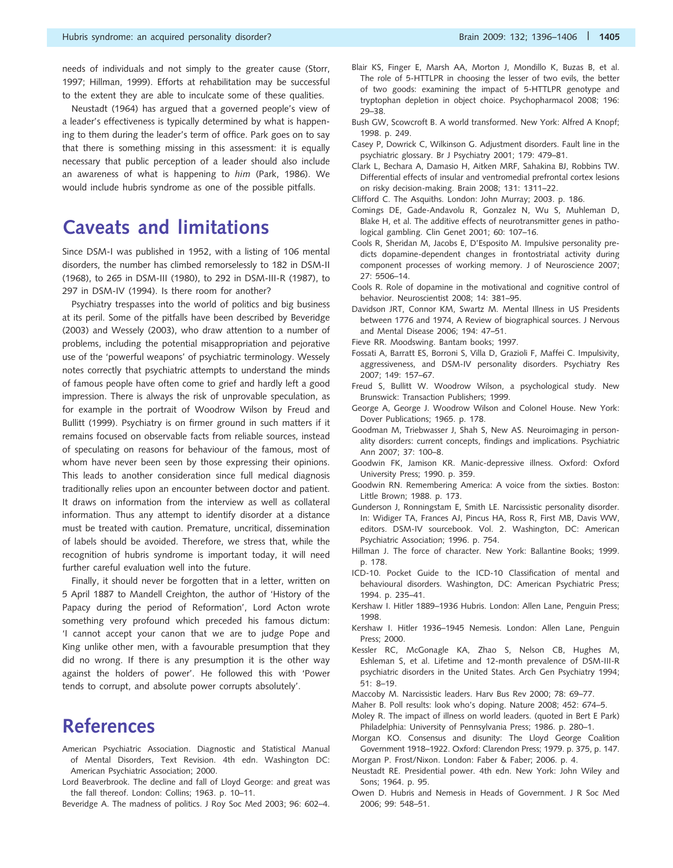needs of individuals and not simply to the greater cause (Storr, 1997; Hillman, 1999). Efforts at rehabilitation may be successful to the extent they are able to inculcate some of these qualities.

Neustadt (1964) has argued that a governed people's view of a leader's effectiveness is typically determined by what is happening to them during the leader's term of office. Park goes on to say that there is something missing in this assessment: it is equally necessary that public perception of a leader should also include an awareness of what is happening to him (Park, 1986). We would include hubris syndrome as one of the possible pitfalls.

#### Caveats and limitations

Since DSM-I was published in 1952, with a listing of 106 mental disorders, the number has climbed remorselessly to 182 in DSM-II (1968), to 265 in DSM-III (1980), to 292 in DSM-III-R (1987), to 297 in DSM-IV (1994). Is there room for another?

Psychiatry trespasses into the world of politics and big business at its peril. Some of the pitfalls have been described by Beveridge (2003) and Wessely (2003), who draw attention to a number of problems, including the potential misappropriation and pejorative use of the 'powerful weapons' of psychiatric terminology. Wessely notes correctly that psychiatric attempts to understand the minds of famous people have often come to grief and hardly left a good impression. There is always the risk of unprovable speculation, as for example in the portrait of Woodrow Wilson by Freud and Bullitt (1999). Psychiatry is on firmer ground in such matters if it remains focused on observable facts from reliable sources, instead of speculating on reasons for behaviour of the famous, most of whom have never been seen by those expressing their opinions. This leads to another consideration since full medical diagnosis traditionally relies upon an encounter between doctor and patient. It draws on information from the interview as well as collateral information. Thus any attempt to identify disorder at a distance must be treated with caution. Premature, uncritical, dissemination of labels should be avoided. Therefore, we stress that, while the recognition of hubris syndrome is important today, it will need further careful evaluation well into the future.

Finally, it should never be forgotten that in a letter, written on 5 April 1887 to Mandell Creighton, the author of 'History of the Papacy during the period of Reformation', Lord Acton wrote something very profound which preceded his famous dictum: 'I cannot accept your canon that we are to judge Pope and King unlike other men, with a favourable presumption that they did no wrong. If there is any presumption it is the other way against the holders of power'. He followed this with 'Power tends to corrupt, and absolute power corrupts absolutely'.

## References

- American Psychiatric Association. Diagnostic and Statistical Manual of Mental Disorders, Text Revision. 4th edn. Washington DC: American Psychiatric Association; 2000.
- Lord Beaverbrook. The decline and fall of Lloyd George: and great was the fall thereof. London: Collins; 1963. p. 10–11.

Beveridge A. The madness of politics. J Roy Soc Med 2003; 96: 602–4.

- Blair KS, Finger E, Marsh AA, Morton J, Mondillo K, Buzas B, et al. The role of 5-HTTLPR in choosing the lesser of two evils, the better of two goods: examining the impact of 5-HTTLPR genotype and tryptophan depletion in object choice. Psychopharmacol 2008; 196: 29–38.
- Bush GW, Scowcroft B. A world transformed. New York: Alfred A Knopf; 1998. p. 249.
- Casey P, Dowrick C, Wilkinson G. Adjustment disorders. Fault line in the psychiatric glossary. Br J Psychiatry 2001; 179: 479–81.
- Clark L, Bechara A, Damasio H, Aitken MRF, Sahakina BJ, Robbins TW. Differential effects of insular and ventromedial prefrontal cortex lesions on risky decision-making. Brain 2008; 131: 1311–22.
- Clifford C. The Asquiths. London: John Murray; 2003. p. 186.
- Comings DE, Gade-Andavolu R, Gonzalez N, Wu S, Muhleman D, Blake H, et al. The additive effects of neurotransmitter genes in pathological gambling. Clin Genet 2001; 60: 107–16.
- Cools R, Sheridan M, Jacobs E, D'Esposito M. Impulsive personality predicts dopamine-dependent changes in frontostriatal activity during component processes of working memory. J of Neuroscience 2007; 27: 5506–14.
- Cools R. Role of dopamine in the motivational and cognitive control of behavior. Neuroscientist 2008; 14: 381–95.
- Davidson JRT, Connor KM, Swartz M. Mental Illness in US Presidents between 1776 and 1974, A Review of biographical sources. J Nervous and Mental Disease 2006; 194: 47–51.
- Fieve RR. Moodswing. Bantam books; 1997.
- Fossati A, Barratt ES, Borroni S, Villa D, Grazioli F, Maffei C. Impulsivity, aggressiveness, and DSM-IV personality disorders. Psychiatry Res 2007; 149: 157–67.
- Freud S, Bullitt W. Woodrow Wilson, a psychological study. New Brunswick: Transaction Publishers; 1999.
- George A, George J. Woodrow Wilson and Colonel House. New York: Dover Publications; 1965. p. 178.
- Goodman M, Triebwasser J, Shah S, New AS. Neuroimaging in personality disorders: current concepts, findings and implications. Psychiatric Ann 2007; 37: 100–8.
- Goodwin FK, Jamison KR. Manic-depressive illness. Oxford: Oxford University Press; 1990. p. 359.
- Goodwin RN. Remembering America: A voice from the sixties. Boston: Little Brown; 1988. p. 173.
- Gunderson J, Ronningstam E, Smith LE. Narcissistic personality disorder. In: Widiger TA, Frances AJ, Pincus HA, Ross R, First MB, Davis WW, editors. DSM-IV sourcebook. Vol. 2. Washington, DC: American Psychiatric Association; 1996. p. 754.
- Hillman J. The force of character. New York: Ballantine Books; 1999. p. 178.
- ICD-10. Pocket Guide to the ICD-10 Classification of mental and behavioural disorders. Washington, DC: American Psychiatric Press; 1994. p. 235–41.
- Kershaw I. Hitler 1889–1936 Hubris. London: Allen Lane, Penguin Press; 1998.
- Kershaw I. Hitler 1936–1945 Nemesis. London: Allen Lane, Penguin Press; 2000.
- Kessler RC, McGonagle KA, Zhao S, Nelson CB, Hughes M, Eshleman S, et al. Lifetime and 12-month prevalence of DSM-III-R psychiatric disorders in the United States. Arch Gen Psychiatry 1994; 51: 8–19.
- Maccoby M. Narcissistic leaders. Harv Bus Rev 2000; 78: 69–77.
- Maher B. Poll results: look who's doping. Nature 2008; 452: 674–5.
- Moley R. The impact of illness on world leaders. (quoted in Bert E Park) Philadelphia: University of Pennsylvania Press; 1986. p. 280–1.
- Morgan KO. Consensus and disunity: The Lloyd George Coalition Government 1918–1922. Oxford: Clarendon Press; 1979. p. 375, p. 147.
- Morgan P. Frost/Nixon. London: Faber & Faber; 2006. p. 4.
- Neustadt RE. Presidential power. 4th edn. New York: John Wiley and Sons; 1964. p. 95.
- Owen D. Hubris and Nemesis in Heads of Government. J R Soc Med 2006; 99: 548–51.